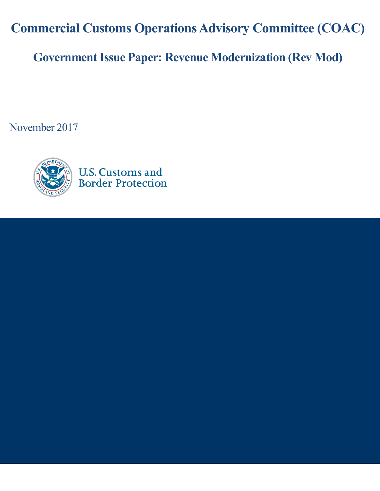**Commercial Customs Operations Advisory Committee (COAC)**

**Government Issue Paper: Revenue Modernization (Rev Mod)**

November 2017

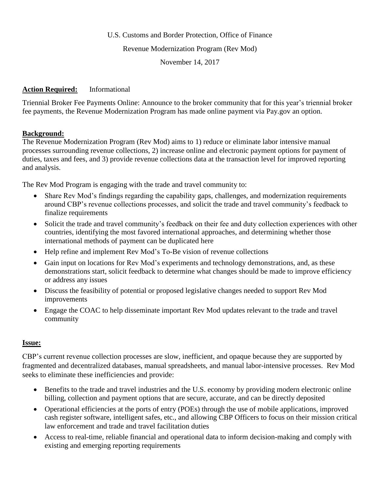### U.S. Customs and Border Protection, Office of Finance

#### Revenue Modernization Program (Rev Mod)

November 14, 2017

### **Action Required:** Informational

Triennial Broker Fee Payments Online: Announce to the broker community that for this year's triennial broker fee payments, the Revenue Modernization Program has made online payment via Pay.gov an option.

### **Background:**

The Revenue Modernization Program (Rev Mod) aims to 1) reduce or eliminate labor intensive manual processes surrounding revenue collections, 2) increase online and electronic payment options for payment of duties, taxes and fees, and 3) provide revenue collections data at the transaction level for improved reporting and analysis.

The Rev Mod Program is engaging with the trade and travel community to:

- Share Rev Mod's findings regarding the capability gaps, challenges, and modernization requirements around CBP's revenue collections processes, and solicit the trade and travel community's feedback to finalize requirements
- Solicit the trade and travel community's feedback on their fee and duty collection experiences with other countries, identifying the most favored international approaches, and determining whether those international methods of payment can be duplicated here
- Help refine and implement Rev Mod's To-Be vision of revenue collections
- Gain input on locations for Rev Mod's experiments and technology demonstrations, and, as these demonstrations start, solicit feedback to determine what changes should be made to improve efficiency or address any issues
- Discuss the feasibility of potential or proposed legislative changes needed to support Rev Mod improvements
- Engage the COAC to help disseminate important Rev Mod updates relevant to the trade and travel community

# **Issue:**

CBP's current revenue collection processes are slow, inefficient, and opaque because they are supported by fragmented and decentralized databases, manual spreadsheets, and manual labor-intensive processes. Rev Mod seeks to eliminate these inefficiencies and provide:

- Benefits to the trade and travel industries and the U.S. economy by providing modern electronic online billing, collection and payment options that are secure, accurate, and can be directly deposited
- Operational efficiencies at the ports of entry (POEs) through the use of mobile applications, improved cash register software, intelligent safes, etc., and allowing CBP Officers to focus on their mission critical law enforcement and trade and travel facilitation duties
- Access to real-time, reliable financial and operational data to inform decision-making and comply with existing and emerging reporting requirements